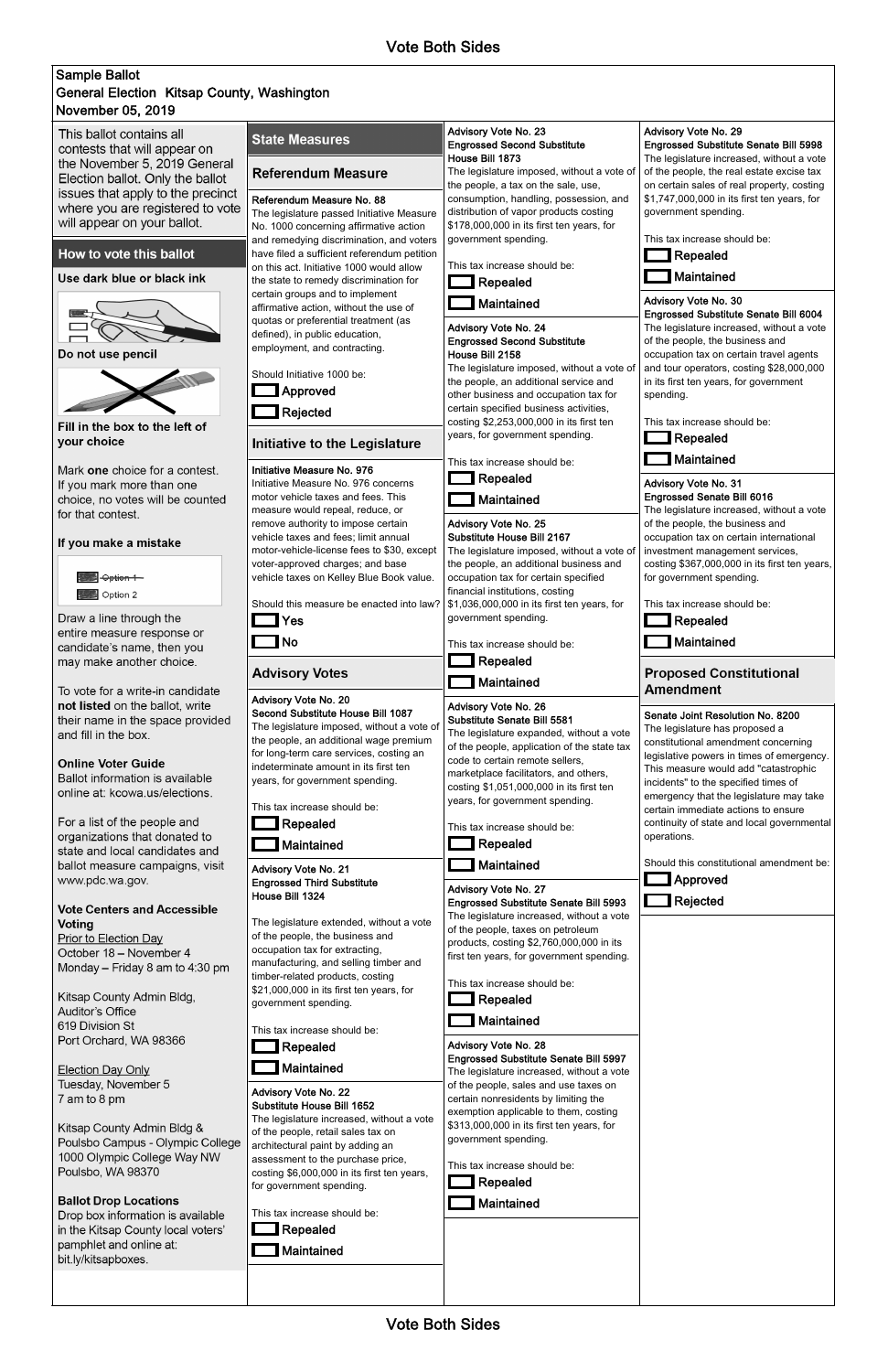## November 05, 2019 Sample Ballot General Election Kitsap County, Washington

This ballot contains all contests that will appear on the November 5, 2019 General Election ballot. Only the ballot issues that apply to the precinct where you are registered to vote will appear on your ballot.

## How to vote this ballot

Use dark blue or black ink



Do not use pencil



Fill in the box to the left of your choice

Mark one choice for a contest. If you mark more than one choice, no votes will be counted for that contest.

### If you make a mistake



Draw a line through the entire measure response or candidate's name, then you may make another choice.

To vote for a write-in candidate not listed on the ballot, write their name in the space provided and fill in the box.

**Online Voter Guide** 

Ballot information is available online at: kcowa.us/elections.

For a list of the people and organizations that donated to state and local candidates and ballot measure campaigns, visit www.pdc.wa.gov.

## **Vote Centers and Accessible Voting**

Prior to Election Day October 18 - November 4 Monday - Friday 8 am to 4:30 pm

Kitsap County Admin Bldg, Auditor's Office 619 Division St Port Orchard, WA 98366

\$21,000,000 in its first ten years, for

# **Repealed**

### **Maintained**

government spending.

This tax increase should be:

### Advisory Vote No. 22 Substitute House Bill 1652 The legislature increased, without a vote of the people, retail sales tax on architectural paint by adding an

assessment to the purchase price, costing \$6,000,000 in its first ten years, for government spending.

This tax increase should be:

Repealed

**Maintained** 

| <b>State Measures</b>                                                                                                                                                                                                                                                    | Advisory Vote No. 23<br><b>Engrossed Second Substitute</b>                                                                                                                                                                                                                    | Advisory Vote No. 29<br><b>Engrossed Substitute Senate Bill 5998</b>                                                                                                                                                                                                              |  |
|--------------------------------------------------------------------------------------------------------------------------------------------------------------------------------------------------------------------------------------------------------------------------|-------------------------------------------------------------------------------------------------------------------------------------------------------------------------------------------------------------------------------------------------------------------------------|-----------------------------------------------------------------------------------------------------------------------------------------------------------------------------------------------------------------------------------------------------------------------------------|--|
| <b>Referendum Measure</b>                                                                                                                                                                                                                                                | House Bill 1873<br>The legislature imposed, without a vote of<br>the people, a tax on the sale, use,                                                                                                                                                                          | The legislature increased, without a vote<br>of the people, the real estate excise tax<br>on certain sales of real property, costing                                                                                                                                              |  |
| Referendum Measure No. 88<br>The legislature passed Initiative Measure                                                                                                                                                                                                   | consumption, handling, possession, and<br>distribution of vapor products costing<br>\$178,000,000 in its first ten years, for                                                                                                                                                 | \$1,747,000,000 in its first ten years, for<br>government spending.<br>This tax increase should be:<br><b>Repealed</b>                                                                                                                                                            |  |
| No. 1000 concerning affirmative action<br>and remedying discrimination, and voters<br>have filed a sufficient referendum petition                                                                                                                                        | government spending.                                                                                                                                                                                                                                                          |                                                                                                                                                                                                                                                                                   |  |
| on this act. Initiative 1000 would allow<br>the state to remedy discrimination for<br>certain groups and to implement                                                                                                                                                    | This tax increase should be:<br><b>Repealed</b>                                                                                                                                                                                                                               | Maintained                                                                                                                                                                                                                                                                        |  |
| affirmative action, without the use of<br>quotas or preferential treatment (as                                                                                                                                                                                           | Maintained<br>Advisory Vote No. 24                                                                                                                                                                                                                                            | Advisory Vote No. 30<br><b>Engrossed Substitute Senate Bill 6004</b><br>The legislature increased, without a vote                                                                                                                                                                 |  |
| defined), in public education,<br>employment, and contracting.                                                                                                                                                                                                           | <b>Engrossed Second Substitute</b><br>House Bill 2158                                                                                                                                                                                                                         | of the people, the business and<br>occupation tax on certain travel agents                                                                                                                                                                                                        |  |
| Should Initiative 1000 be:<br>Approved                                                                                                                                                                                                                                   | The legislature imposed, without a vote of<br>the people, an additional service and<br>other business and occupation tax for                                                                                                                                                  | and tour operators, costing \$28,000,000<br>in its first ten years, for government<br>spending.                                                                                                                                                                                   |  |
| Rejected                                                                                                                                                                                                                                                                 | certain specified business activities,<br>costing \$2,253,000,000 in its first ten                                                                                                                                                                                            | This tax increase should be:                                                                                                                                                                                                                                                      |  |
| <b>Initiative to the Legislature</b>                                                                                                                                                                                                                                     | years, for government spending.<br>This tax increase should be:                                                                                                                                                                                                               | Repealed<br>Maintained                                                                                                                                                                                                                                                            |  |
| Initiative Measure No. 976<br>Initiative Measure No. 976 concerns                                                                                                                                                                                                        | $\Box$ Repealed                                                                                                                                                                                                                                                               | Advisory Vote No. 31                                                                                                                                                                                                                                                              |  |
| motor vehicle taxes and fees. This<br>measure would repeal, reduce, or<br>remove authority to impose certain                                                                                                                                                             | Maintained<br>Advisory Vote No. 25                                                                                                                                                                                                                                            | <b>Engrossed Senate Bill 6016</b><br>The legislature increased, without a vote<br>of the people, the business and                                                                                                                                                                 |  |
| vehicle taxes and fees; limit annual<br>motor-vehicle-license fees to \$30, except<br>voter-approved charges; and base                                                                                                                                                   | Substitute House Bill 2167<br>The legislature imposed, without a vote of<br>the people, an additional business and                                                                                                                                                            | occupation tax on certain international<br>investment management services,<br>costing \$367,000,000 in its first ten years,                                                                                                                                                       |  |
| vehicle taxes on Kelley Blue Book value.                                                                                                                                                                                                                                 | occupation tax for certain specified<br>financial institutions, costing                                                                                                                                                                                                       | for government spending.                                                                                                                                                                                                                                                          |  |
| Should this measure be enacted into law?<br>Yes                                                                                                                                                                                                                          | \$1,036,000,000 in its first ten years, for<br>government spending.                                                                                                                                                                                                           | This tax increase should be:<br>Repealed                                                                                                                                                                                                                                          |  |
| <b>No</b>                                                                                                                                                                                                                                                                | This tax increase should be:                                                                                                                                                                                                                                                  | Maintained                                                                                                                                                                                                                                                                        |  |
| <b>Advisory Votes</b>                                                                                                                                                                                                                                                    | Repealed<br>Maintained                                                                                                                                                                                                                                                        | <b>Proposed Constitutional</b><br><b>Amendment</b>                                                                                                                                                                                                                                |  |
| Advisory Vote No. 20<br>Second Substitute House Bill 1087<br>The legislature imposed, without a vote of<br>the people, an additional wage premium<br>for long-term care services, costing an<br>indeterminate amount in its first ten<br>years, for government spending. | Advisory Vote No. 26<br><b>Substitute Senate Bill 5581</b><br>The legislature expanded, without a vote<br>of the people, application of the state tax<br>code to certain remote sellers,<br>marketplace facilitators, and others,<br>costing \$1,051,000,000 in its first ten | Senate Joint Resolution No. 8200<br>The legislature has proposed a<br>constitutional amendment concerning<br>legislative powers in times of emergency.<br>This measure would add "catastrophic<br>incidents" to the specified times of<br>emergency that the legislature may take |  |
| This tax increase should be:<br>Repealed                                                                                                                                                                                                                                 | years, for government spending.<br>This tax increase should be:                                                                                                                                                                                                               | certain immediate actions to ensure<br>continuity of state and local governmental                                                                                                                                                                                                 |  |
| Maintained                                                                                                                                                                                                                                                               | <b>Repealed</b>                                                                                                                                                                                                                                                               | operations.                                                                                                                                                                                                                                                                       |  |
| <b>Advisory Vote No. 21</b><br><b>Engrossed Third Substitute</b><br>House Bill 1324                                                                                                                                                                                      | Maintained                                                                                                                                                                                                                                                                    | Should this constitutional amendment be:<br>Approved                                                                                                                                                                                                                              |  |
|                                                                                                                                                                                                                                                                          | Advisory Vote No. 27<br><b>Engrossed Substitute Senate Bill 5993</b><br>The legislature increased, without a vote                                                                                                                                                             | Rejected                                                                                                                                                                                                                                                                          |  |
| The legislature extended, without a vote<br>of the people, the business and<br>occupation tax for extracting,<br>manufacturing, and selling timber and<br>timber-related products, costing                                                                               | of the people, taxes on petroleum<br>products, costing \$2,760,000,000 in its<br>first ten years, for government spending.                                                                                                                                                    |                                                                                                                                                                                                                                                                                   |  |
|                                                                                                                                                                                                                                                                          | This tax increase should be:                                                                                                                                                                                                                                                  |                                                                                                                                                                                                                                                                                   |  |

**Election Day Only** Tuesday, November 5 7 am to 8 pm

Kitsap County Admin Bldg & Poulsbo Campus - Olympic College 1000 Olympic College Way NW Poulsbo, WA 98370

### **Ballot Drop Locations**

Drop box information is available in the Kitsap County local voters' pamphlet and online at: bit.ly/kitsapboxes.

Repealed



### Advisory Vote No. 28 Engrossed Substitute Senate Bill 5997 The legislature increased, without a vote of the people, sales and use taxes on certain nonresidents by limiting the exemption applicable to them, costing \$313,000,000 in its first ten years, for government spending.

This tax increase should be:





Vote Both Sides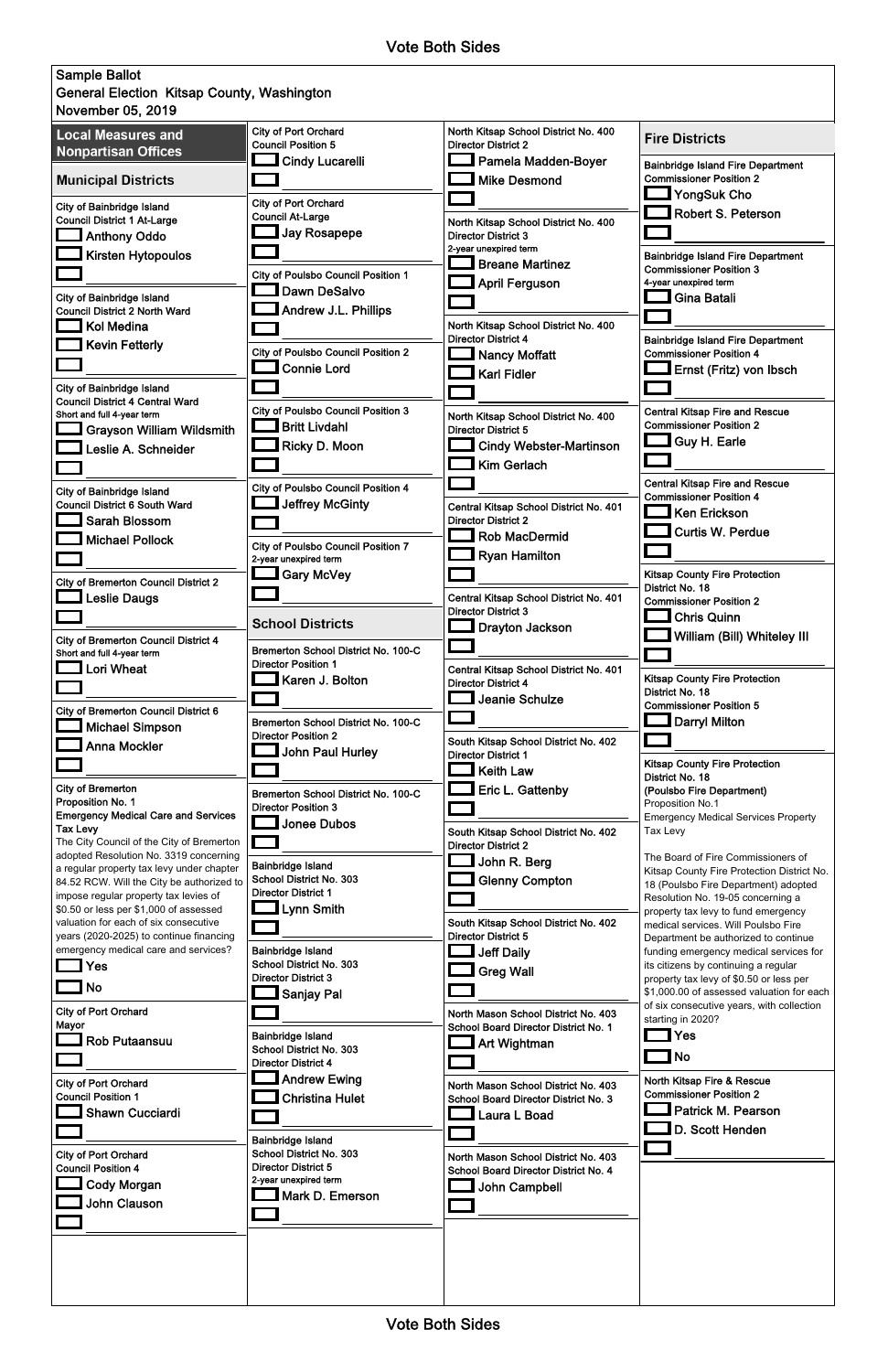| <b>General Election Kitsap County, Washington</b>                               |                                                       |                                                                    |                                                                            |
|---------------------------------------------------------------------------------|-------------------------------------------------------|--------------------------------------------------------------------|----------------------------------------------------------------------------|
| November 05, 2019                                                               |                                                       |                                                                    |                                                                            |
| <b>Local Measures and</b>                                                       | <b>City of Port Orchard</b>                           | North Kitsap School District No. 400                               |                                                                            |
| <b>Nonpartisan Offices</b>                                                      | <b>Council Position 5</b>                             | <b>Director District 2</b>                                         | <b>Fire Districts</b>                                                      |
|                                                                                 | <b>Cindy Lucarelli</b>                                | Pamela Madden-Boyer                                                | <b>Bainbridge Island Fire Department</b>                                   |
| <b>Municipal Districts</b>                                                      |                                                       | <b>Mike Desmond</b>                                                | <b>Commissioner Position 2</b>                                             |
|                                                                                 |                                                       |                                                                    | <b>YongSuk Cho</b>                                                         |
| <b>City of Bainbridge Island</b>                                                | <b>City of Port Orchard</b>                           |                                                                    | <b>Robert S. Peterson</b>                                                  |
| <b>Council District 1 At-Large</b>                                              | <b>Council At-Large</b>                               | North Kitsap School District No. 400                               |                                                                            |
| Anthony Oddo                                                                    | <b>Jay Rosapepe</b>                                   | <b>Director District 3</b>                                         |                                                                            |
| <b>Kirsten Hytopoulos</b>                                                       |                                                       | 2-year unexpired term                                              | <b>Bainbridge Island Fire Department</b>                                   |
|                                                                                 | <b>City of Poulsbo Council Position 1</b>             | <b>Breane Martinez</b>                                             | <b>Commissioner Position 3</b>                                             |
|                                                                                 | Dawn DeSalvo                                          | <b>April Ferguson</b>                                              | 4-year unexpired term                                                      |
| <b>City of Bainbridge Island</b>                                                |                                                       |                                                                    | <b>Gina Batali</b>                                                         |
| <b>Council District 2 North Ward</b>                                            | <b>Andrew J.L. Phillips</b>                           |                                                                    |                                                                            |
| <b>Kol Medina</b>                                                               |                                                       | North Kitsap School District No. 400<br><b>Director District 4</b> |                                                                            |
| <b>Kevin Fetterly</b>                                                           | <b>City of Poulsbo Council Position 2</b>             | <b>Nancy Moffatt</b>                                               | <b>Bainbridge Island Fire Department</b><br><b>Commissioner Position 4</b> |
|                                                                                 | <b>Connie Lord</b>                                    |                                                                    | Ernst (Fritz) von Ibsch                                                    |
|                                                                                 |                                                       | <b>Karl Fidler</b>                                                 |                                                                            |
| <b>City of Bainbridge Island</b><br><b>Council District 4 Central Ward</b>      |                                                       |                                                                    |                                                                            |
| Short and full 4-year term                                                      | <b>City of Poulsbo Council Position 3</b>             | North Kitsap School District No. 400                               | <b>Central Kitsap Fire and Rescue</b>                                      |
| <b>Grayson William Wildsmith</b>                                                | <b>Britt Livdahl</b>                                  | <b>Director District 5</b>                                         | <b>Commissioner Position 2</b>                                             |
|                                                                                 | Ricky D. Moon                                         | <b>Cindy Webster-Martinson</b>                                     | <b>Guy H. Earle</b>                                                        |
| Leslie A. Schneider                                                             |                                                       |                                                                    |                                                                            |
|                                                                                 |                                                       | <b>Kim Gerlach</b>                                                 |                                                                            |
| <b>City of Bainbridge Island</b>                                                | <b>City of Poulsbo Council Position 4</b>             |                                                                    | <b>Central Kitsap Fire and Rescue</b>                                      |
| <b>Council District 6 South Ward</b>                                            | <b>Jeffrey McGinty</b>                                | Central Kitsap School District No. 401                             | <b>Commissioner Position 4</b>                                             |
| <b>Sarah Blossom</b>                                                            |                                                       | <b>Director District 2</b>                                         | <b>Ken Erickson</b>                                                        |
| <b>Michael Pollock</b>                                                          |                                                       | <b>Rob MacDermid</b>                                               | <b>Curtis W. Perdue</b>                                                    |
|                                                                                 | <b>City of Poulsbo Council Position 7</b>             | <b>Ryan Hamilton</b>                                               |                                                                            |
|                                                                                 | 2-year unexpired term                                 |                                                                    |                                                                            |
| <b>City of Bremerton Council District 2</b>                                     | <b>Let</b> Gary McVey                                 |                                                                    | <b>Kitsap County Fire Protection</b>                                       |
| <b>Leslie Daugs</b>                                                             |                                                       | Central Kitsap School District No. 401                             | District No. 18<br><b>Commissioner Position 2</b>                          |
|                                                                                 |                                                       | <b>Director District 3</b>                                         |                                                                            |
|                                                                                 | <b>School Districts</b>                               | <b>Drayton Jackson</b>                                             | <b>Chris Quinn</b>                                                         |
| <b>City of Bremerton Council District 4</b>                                     |                                                       |                                                                    | William (Bill) Whiteley III                                                |
| Short and full 4-year term                                                      | <b>Bremerton School District No. 100-C</b>            |                                                                    |                                                                            |
| Lori Wheat                                                                      | <b>Director Position 1</b>                            | Central Kitsap School District No. 401                             | <b>Kitsap County Fire Protection</b>                                       |
|                                                                                 | Karen J. Bolton                                       | <b>Director District 4</b>                                         | District No. 18                                                            |
|                                                                                 |                                                       | Jeanie Schulze                                                     | <b>Commissioner Position 5</b>                                             |
| <b>City of Bremerton Council District 6</b><br>$\blacksquare$ Michael Simpson   | Bremerton School District No. 100-C                   |                                                                    | <b>Darryl Milton</b>                                                       |
|                                                                                 |                                                       |                                                                    |                                                                            |
|                                                                                 | <b>Director Position 2</b>                            |                                                                    |                                                                            |
| <b>Anna Mockler</b>                                                             |                                                       | South Kitsap School District No. 402                               |                                                                            |
|                                                                                 | <b>John Paul Hurley</b>                               | <b>Director District 1</b>                                         | <b>Kitsap County Fire Protection</b>                                       |
|                                                                                 |                                                       | <b>Keith Law</b>                                                   | District No. 18                                                            |
| <b>City of Bremerton</b>                                                        | Bremerton School District No. 100-C                   | Eric L. Gattenby                                                   | (Poulsbo Fire Department)                                                  |
| Proposition No. 1                                                               | <b>Director Position 3</b>                            |                                                                    | Proposition No.1                                                           |
| <b>Emergency Medical Care and Services</b><br><b>Tax Levy</b>                   | $\Box$ Jonee Dubos                                    |                                                                    | <b>Emergency Medical Services Property</b>                                 |
| The City Council of the City of Bremerton                                       |                                                       | South Kitsap School District No. 402<br><b>Director District 2</b> | Tax Levy                                                                   |
| adopted Resolution No. 3319 concerning                                          |                                                       |                                                                    | The Board of Fire Commissioners of                                         |
| a regular property tax levy under chapter                                       | <b>Bainbridge Island</b>                              | John R. Berg                                                       | Kitsap County Fire Protection District No.                                 |
| 84.52 RCW. Will the City be authorized to                                       | School District No. 303<br><b>Director District 1</b> | <b>Glenny Compton</b>                                              | 18 (Poulsbo Fire Department) adopted                                       |
| impose regular property tax levies of<br>\$0.50 or less per \$1,000 of assessed |                                                       |                                                                    | Resolution No. 19-05 concerning a                                          |
| valuation for each of six consecutive                                           | Lynn Smith                                            | South Kitsap School District No. 402                               | property tax levy to fund emergency<br>medical services. Will Poulsbo Fire |
| years (2020-2025) to continue financing                                         |                                                       | <b>Director District 5</b>                                         | Department be authorized to continue                                       |
| emergency medical care and services?                                            | <b>Bainbridge Island</b>                              | <b>Jeff Daily</b>                                                  | funding emergency medical services for                                     |
| Yes                                                                             | School District No. 303                               |                                                                    | its citizens by continuing a regular                                       |
|                                                                                 | <b>Director District 3</b>                            | <b>Greg Wall</b>                                                   | property tax levy of \$0.50 or less per                                    |
| No                                                                              | <b>__I</b> Sanjay Pal                                 |                                                                    | \$1,000.00 of assessed valuation for each                                  |
| <b>City of Port Orchard</b>                                                     |                                                       | North Mason School District No. 403                                | of six consecutive years, with collection<br>starting in 2020?             |
| Mayor                                                                           |                                                       | School Board Director District No. 1                               |                                                                            |
| <b>Rob Putaansuu</b>                                                            | Bainbridge Island<br>School District No. 303          | Art Wightman                                                       | Yes                                                                        |
|                                                                                 | <b>Director District 4</b>                            |                                                                    | <b>No</b>                                                                  |
|                                                                                 | <b>Lett</b> Andrew Ewing                              |                                                                    | North Kitsap Fire & Rescue                                                 |
| <b>City of Port Orchard</b><br><b>Council Position 1</b>                        |                                                       | North Mason School District No. 403                                | <b>Commissioner Position 2</b>                                             |
|                                                                                 | <b>Christina Hulet</b>                                | School Board Director District No. 3                               | Patrick M. Pearson                                                         |
| $\Box$ Shawn Cucciardi                                                          |                                                       | Laura L Boad                                                       |                                                                            |
|                                                                                 | Bainbridge Island                                     |                                                                    | D. Scott Henden                                                            |
| <b>City of Port Orchard</b>                                                     | School District No. 303                               | North Mason School District No. 403                                |                                                                            |
| <b>Council Position 4</b>                                                       | <b>Director District 5</b>                            | School Board Director District No. 4                               |                                                                            |
| Cody Morgan                                                                     | 2-year unexpired term                                 | John Campbell                                                      |                                                                            |
| <b>John Clauson</b>                                                             | Mark D. Emerson                                       |                                                                    |                                                                            |
|                                                                                 |                                                       |                                                                    |                                                                            |
|                                                                                 |                                                       |                                                                    |                                                                            |
|                                                                                 |                                                       |                                                                    |                                                                            |
|                                                                                 |                                                       |                                                                    |                                                                            |
|                                                                                 |                                                       |                                                                    |                                                                            |

Vote Both Sides